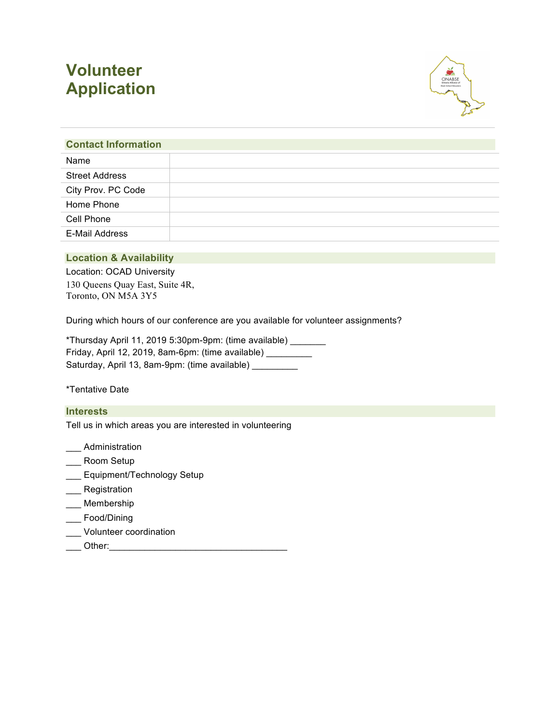# **Volunteer Application**



# **Contact Information** Name Street Address City Prov. PC Code Home Phone Cell Phone E-Mail Address

# **Location & Availability**

Location: OCAD University 130 Queens Quay East, Suite 4R, Toronto, ON M5A 3Y5

During which hours of our conference are you available for volunteer assignments?

\*Thursday April 11, 2019 5:30pm-9pm: (time available) \_\_\_\_\_\_\_ Friday, April 12, 2019, 8am-6pm: (time available) \_\_\_\_\_\_\_\_\_ Saturday, April 13, 8am-9pm: (time available) \_\_\_\_\_\_\_\_\_

\*Tentative Date

#### **Interests**

Tell us in which areas you are interested in volunteering

- \_\_\_ Administration
- \_\_\_ Room Setup
- \_\_\_ Equipment/Technology Setup
- **Registration**
- \_\_\_ Membership
- \_\_\_ Food/Dining
- \_\_\_ Volunteer coordination
- \_\_\_ Other:\_\_\_\_\_\_\_\_\_\_\_\_\_\_\_\_\_\_\_\_\_\_\_\_\_\_\_\_\_\_\_\_\_\_\_